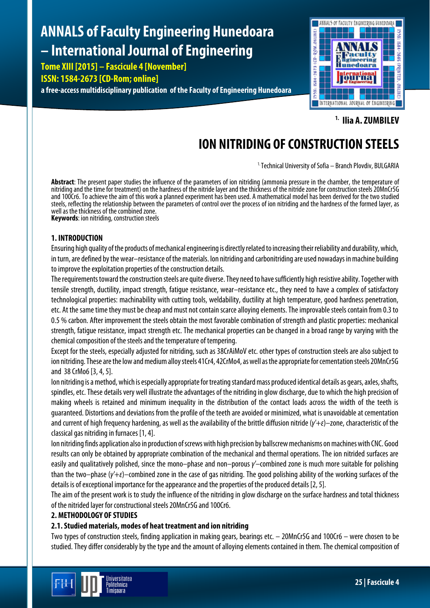# **ANNALS of Faculty Engineering Hunedoara – International Journal of Engineering**

**Tome XIII [2015] – Fascicule 4 [November]**

# **ISSN: 1584-2673 [CD-Rom; online]**

**a free-access multidisciplinary publication of the Faculty of Engineering Hunedoara**



**1. Ilia A. ZUMBILEV**

# **ION NITRIDING OF CONSTRUCTION STEELS**

1.Technical University of Sofia – Branch Plovdiv, BULGARIA

**Abstract**: The present paper studies the influence of the parameters of ion nitriding (ammonia pressure in the chamber, the temperature of nitridingand the time for treatment) on the hardness of the nitride layer and the thickness of the nitride zone for construction steels 20MnCr5G and 100Cr6. To achieve the aim of this work a planned experiment has been used. A mathematical model has been derived for the two studied steels, reflecting the relationship between the parameters of control over the process of ion nitriding and the hardness of the formed layer, as well as the thickness of the combined zone.

**Keywords**: ion nitriding, construction steels

# **1. INTRODUCTION**

Ensuring high quality of the products of mechanical engineering is directly related to increasing their reliability and durability, which, in turn, are defined by the wear–resistance of the materials. Ion nitriding and carbonitriding are used nowadays in machine building to improve the exploitation properties of the construction details.

The requirements toward the construction steels are quite diverse. They need to have sufficiently high resistive ability. Together with tensile strength, ductility, impact strength, fatigue resistance, wear–resistance etc., they need to have a complex of satisfactory technological properties: machinability with cutting tools, weldability, ductility at high temperature, good hardness penetration, etc. At the same time they must be cheap and must not contain scarce alloying elements. The improvable steels contain from 0.3 to 0.5 % carbon. After improvement the steels obtain the most favorable combination of strength and plasticproperties: mechanical strength, fatigue resistance, impact strength etc. The mechanical properties can be changed in a broad range by varying with the chemical composition of the steels and the temperature of tempering.

Except for the steels, especially adjusted for nitriding, such as 38CrAiMoV etc. other types of construction steels are also subject to ion nitriding. These are thelow and mediumalloy steels 41Cr4, 42CrMo4, as well as the appropriate for cementation steels 20MnCr5G and 38 CrMo6 [3, 4, 5].

Ion nitriding is a method, which is especially appropriate for treating standard mass produced identical details as gears, axles, shafts, spindles, etc. These details very well illustrate the advantages of the nitriding in glow discharge, due to which the high precision of making wheels is retained and minimum inequality in the distribution of the contact loads across the width of the teeth is guaranteed. Distortions and deviations from the profile of the teeth are avoided or minimized, what is unavoidable at cementation and currentof high frequency hardening, as well as the availability of the brittle diffusion nitride (*γ'+ε*)–zone, characteristic of the classical gas nitriding in furnaces [1,4].

Ion nitriding finds application also in production of screws with high precision by ballscrew mechanisms on machines with CNC. Good results can only be obtained by appropriate combination of the mechanical and thermal operations. The ion nitrided surfaces are easily and qualitatively polished, since the mono–phase and non–porous *γ'–*combined zone is much more suitable for polishing than the two–phase (*γ'+ε*)–combined zone in the case of gas nitriding. The good polishing ability of the working surfaces of the details is of exceptional importance for the appearance and the properties of the produced details [2,5].

The aim of the present work is to study the influence of the nitriding in glow discharge on the surface hardness and total thickness of the nitrided layer for constructional steels 20MnCr5G and100Cr6.

# **2. METHODOLOGY OF STUDIES**

# **2.1.Studied materials, modes of heat treatment and ion nitriding**

Two types of construction steels, finding application in making gears, bearings etc. – 20MnCr5G and 100Cr6 – were chosen to be studied. They differ considerably by the type and the amount of alloying elements contained in them. The chemical composition of

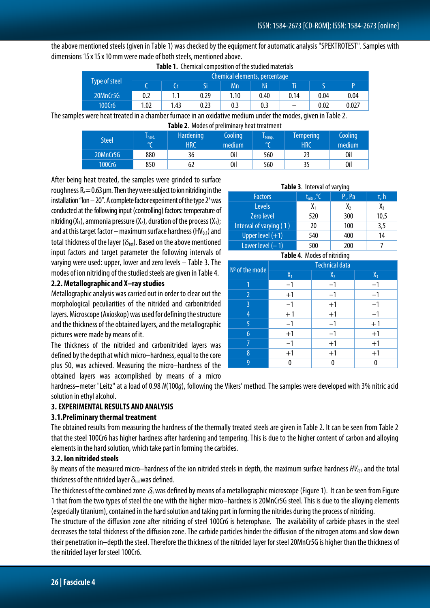the above mentioned steels (given in Table 1) was checked by the equipment for automatic analysis "SPEKTROTEST". Samples with dimensions 15 x 15 x 10 mm were made of both steels, mentioned above.

| <b>Type of steel</b> | Chemical elements, percentage |      |      |      |      |      |      |       |
|----------------------|-------------------------------|------|------|------|------|------|------|-------|
|                      |                               |      |      | Mn   | Ni   |      |      |       |
| 20MnCr5G             | 0.2                           | 1.1  | 0.29 | 1.10 | 0.40 | 0.14 | 0.04 | 0.04  |
| 100Cr6               | 1.02                          | 1.43 | 0.23 | 0.3  | 0.3  |      | 0.02 | 0.027 |

**Table 1.** Chemical composition of the studied materials

The samples were heat treated in a chamber furnace in an oxidative medium under the modes, given in Table 2. **Table 2**. Modes of preliminary heat treatment

| <b>TUBIC 4.</b> MOULS OF DILIMINING FILUL LILULIILIIL |         |                  |         |         |                  |         |
|-------------------------------------------------------|---------|------------------|---------|---------|------------------|---------|
| <b>Steel</b>                                          | hard.   | <b>Hardening</b> | Cooling | I temp. | <b>Tempering</b> | Cooling |
|                                                       | $\circ$ | <b>HRC</b>       | medium  | lor.    | <b>HRC</b>       | medium  |
| 20MnCr5G                                              | 880     | 36               | 0il     | 560     |                  | 0il     |
| 100Cr6                                                | 850     | 62               | 0il     | 560     |                  | 0il     |

After being heat treated, the samples were grinded to surface roughness  $R = 0.63$  um. Then they were subject to ion nitriding in the installation "Ion  $-20$ ". A complete factor experiment of the type  $2<sup>3</sup>$  was conducted at the following input (controlling) factors: temperature of nitriding  $(X_1)$ , ammonia pressure  $(X_2)$ , duration of the process  $(X_3)$ ; and at this target factor – maximum surface hardness (HV $_{0,1}$ ) and total thickness of the layer ( $\delta_{\text{tot}}$ ). Based on the above mentioned input factors and target parameter the following intervals of varying were used: upper, lower and zero levels – Table 3. The modes of ion nitriding of the studied steels are given in Table 4.

#### **2.2. Metallographic and X–ray studies**

Metallographic analysis was carried out in order to clear out the morphological peculiarities of the nitrided and carbonitrided layers. Microscope (Axioskop) was used for defining the structure and the thickness of the obtained layers, and the metallographic pictures were made by means of it.

The thickness of the nitrided and carbonitrided layers was defined by the depth at which micro–hardness, equal to the core plus 50, was achieved. Measuring the micro–hardness of the obtained layers was accomplished by means of a micro

hardness–meter "Leitz" at a load of 0.98 *N*(100*g*), following the Vikers' method. The samples were developed with 3% nitric acid solution in ethyl alcohol.

# **3. EXPERIMENTAL RESULTS AND ANALYSIS**

#### **3.1.Preliminary thermal treatment**

The obtained results from measuring the hardness of the thermally treated steels are given in Table 2. It can be seen from Table 2 that the steel 100Cr6 has higher hardness after hardening and tempering. This is due to the higher content of carbon and alloying elements in the hard solution, which take part in forming the carbides.

#### **3.2. Ion nitrided steels**

By means of the measured micro–hardness of the ion nitrided steels in depth, the maximum surface hardness  $HV_{0,1}$  and the total thickness of the nitrided layer  $\delta_{\text{tot}}$  was defined.

The thickness of the combined zone δ*сz*was defined by means of a metallographic microscope (Figure 1). It can be seen from Figure 1 that from the two types of steel the one with the higher micro–hardness is 20MnCr5G steel. This is due to the alloying elements (especially titanium), contained in the hard solution and taking part in forming the nitrides during the process of nitriding.

The structure of the diffusion zone after nitriding of steel 100Cr6 is heterophase. The availability of carbide phases in the steel decreases the total thickness of the diffusion zone. The carbide particles hinder the diffusion of the nitrogen atoms and slow down their penetration in–depth the steel. Therefore the thickness of the nitrided layer for steel 20MnCr5G is higher than the thickness of the nitrided layer for steel 100Cr6.

#### **Table 3**. Interval of varying

| <b>Factors</b>          | $t_{\text{nit}}$ , $\degree$ C | $P$ , $Pa$ | τ, h                |
|-------------------------|--------------------------------|------------|---------------------|
| <b>Levels</b>           |                                | $X_{2}$    | $\chi$ <sub>3</sub> |
| <b>Zero level</b>       | 520                            | 300        | 10,5                |
| Interval of varying (1) | 20                             | 100        | 3,5                 |
| Upper level $(+1)$      | 540                            | 400        | 14                  |
| Lower level $(-1)$      | 500                            | 200        |                     |

**Таble 4**. Modes of nitriding

| $No$ of the mode | Technical data |       |       |  |  |
|------------------|----------------|-------|-------|--|--|
|                  | $X_1$          | $X_2$ | $X_3$ |  |  |
| 1                | $-1$           | $-1$  |       |  |  |
| 2                | $+1$           | $-1$  |       |  |  |
| 3                | $-1$           | $+1$  |       |  |  |
| $\overline{4}$   | $+1$           | $+1$  |       |  |  |
| 5                | $-1$           | $-1$  | $+1$  |  |  |
| 6                | $+1$           | $-1$  | $+1$  |  |  |
|                  |                | $+1$  | $+1$  |  |  |
| 8                | $+1$           | $+1$  | $+1$  |  |  |
| 9                |                | O     |       |  |  |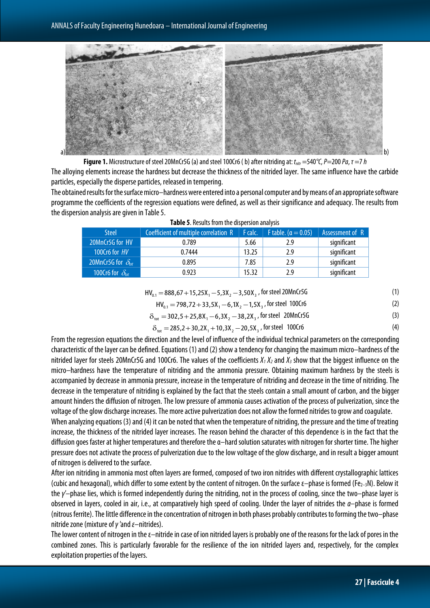

**Figure 1.** Microstructure of steel 20MnCr5G (a) and steel 100Cr6 (b) after nitriding at: *t<sub>nitr</sub>* =540<sup>°</sup>C, *P*=200 *Pa*, *τ* =7 *h* The alloying elements increase the hardness but decrease the thickness of the nitrided layer. The same influence have the carbide particles, especially the disperse particles, released in tempering.

The obtained results for the surface micro–hardness were entered into a personal computer and by means of an appropriate software programme the coefficients of the regression equations were defined, as well as their significance and adequacy. The results from the dispersion analysis are given in Table 5.

| <b>Steel</b>                | Coefficient of multiple correlation R | F calc. | <b>F</b> table. ( $\alpha = 0.05$ ) | Assessment of R |  |  |  |
|-----------------------------|---------------------------------------|---------|-------------------------------------|-----------------|--|--|--|
| 20MnCr5G for HV             | 0.789                                 | 5.66    | 2.9                                 | significant     |  |  |  |
| 100Cr6 for HV               | 0.7444                                | 13.25   | 2.9                                 | significant     |  |  |  |
| 20MnCr5G for $\delta_{tot}$ | 0.895                                 | 7.85    | 2.9                                 | significant     |  |  |  |
| 100Cr6 for $\delta_{tot}$   | 0.923                                 | 15.32   | 2.9                                 | significant     |  |  |  |

| Table 5. Results from the dispersion analysis |  |  |
|-----------------------------------------------|--|--|
|-----------------------------------------------|--|--|

# $HV_{0.1} = 888,67+15,25X_1 - 5,3X_2 - 3,50X_3$ , for steel 20MnCr5G (1)

$$
HV_{0.1} = 798,72 + 33,5X_1 - 6,1X_2 - 1,5X_3
$$
, for steel 100Cr6 (2)

$$
\delta_{\text{tot}} = 302.5 + 25.8X_1 - 6.3X_2 - 38.2X_3 \text{, for steel 20MnCr5G} \tag{3}
$$

$$
\delta_{\text{tot}} = 285.2 + 30.2X_1 + 10.3X_2 - 20.5X_3 \text{, for steel } 100Cr6 \tag{4}
$$

From the regression equations the direction and the level of influence of the individual technical parameters on the corresponding characteristic of the layer can be defined. Equations (1) and(2) show a tendency for changing the maximum micro–hardness of the nitrided layer for steels 20MnCr5G and 100Cr6. The values of the coefficients  $X_1X_2$  and  $X_3$  show that the biggest influence on the micro–hardness have the temperature of nitriding and the ammonia pressure. Obtaining maximum hardness by the steels is accompanied by decrease in ammonia pressure, increase in the temperature of nitriding and decrease in the time of nitriding. The decrease in the temperature of nitriding is explained by the fact that the steels contain a small amount of carbon, and the bigger amount hinders the diffusion of nitrogen. The low pressure of ammonia causes activation of the process of pulverization, since the voltage of the glow discharge increases. The more active pulverization does not allow the formed nitrides to grow and coagulate.

When analyzing equations (3) and (4) it can be noted that when the temperature of nitriding, the pressure and the time of treating increase, the thickness of the nitrided layer increases. The reason behind the character of this dependence is in the fact that the diffusion goes faster at higher temperatures and therefore the α–hard solution saturates with nitrogen for shorter time. The higher pressure does not activate the process of pulverization due to the low voltage of the glow discharge, and in result a bigger amount of nitrogen is delivered to the surface.

After ion nitriding in ammonia most often layers are formed, composed of two iron nitrides with different crystallographic lattices (cubic and hexagonal), which differ to some extent by the content of nitrogen. On the surface  $\varepsilon$ -phase is formed (Fe<sub>2-3</sub>N). Below it the *γ'–*phase lies, which is formed independently during the nitriding, not in the process of cooling, since the two–phase layer is observed in layers, cooled in air, i.e., at comparatively high speed of cooling. Under the layer of nitrides the *α*–phase is formed (nitrous ferrite). The little difference in the concentration of nitrogen in both phases probably contributes to forming the two–phase nitridezone (mixture of*γ '*and *ε*–nitrides).

The lower content of nitrogen in the ε–nitride in case of ion nitrided layers is probably one of the reasons for the lack of pores in the combined zones. This is particularly favorable for the resilience of the ion nitrided layers and, respectively, for the complex exploitation properties of the layers.